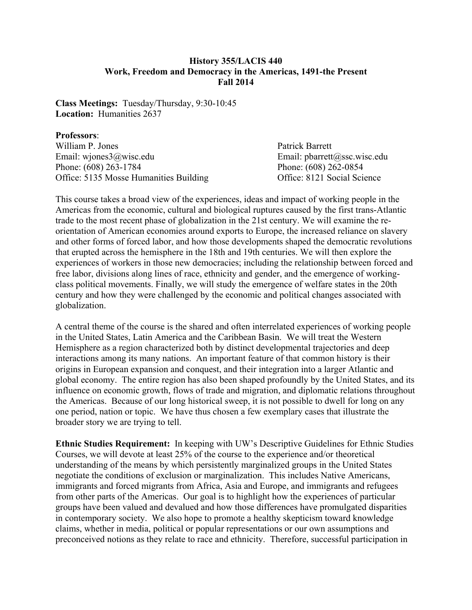## **History 355/LACIS 440 Work, Freedom and Democracy in the Americas, 1491-the Present Fall 2014**

**Class Meetings:** Tuesday/Thursday, 9:30-10:45 **Location:** Humanities 2637

## **Professors**:

William P. Jones Patrick Barrett Email: wiones3@wisc.edu Email: pbarrett@ssc.wisc.edu Phone: (608) 263-1784<br>
Office: 5135 Mosse Humanities Building<br>
Office: 8121 Social Science Office: 5135 Mosse Humanities Building

This course takes a broad view of the experiences, ideas and impact of working people in the Americas from the economic, cultural and biological ruptures caused by the first trans-Atlantic trade to the most recent phase of globalization in the 21st century. We will examine the reorientation of American economies around exports to Europe, the increased reliance on slavery and other forms of forced labor, and how those developments shaped the democratic revolutions that erupted across the hemisphere in the 18th and 19th centuries. We will then explore the experiences of workers in those new democracies; including the relationship between forced and free labor, divisions along lines of race, ethnicity and gender, and the emergence of workingclass political movements. Finally, we will study the emergence of welfare states in the 20th century and how they were challenged by the economic and political changes associated with globalization.

A central theme of the course is the shared and often interrelated experiences of working people in the United States, Latin America and the Caribbean Basin. We will treat the Western Hemisphere as a region characterized both by distinct developmental trajectories and deep interactions among its many nations. An important feature of that common history is their origins in European expansion and conquest, and their integration into a larger Atlantic and global economy. The entire region has also been shaped profoundly by the United States, and its influence on economic growth, flows of trade and migration, and diplomatic relations throughout the Americas. Because of our long historical sweep, it is not possible to dwell for long on any one period, nation or topic. We have thus chosen a few exemplary cases that illustrate the broader story we are trying to tell.

**Ethnic Studies Requirement:** In keeping with UW's Descriptive Guidelines for Ethnic Studies Courses, we will devote at least 25% of the course to the experience and/or theoretical understanding of the means by which persistently marginalized groups in the United States negotiate the conditions of exclusion or marginalization. This includes Native Americans, immigrants and forced migrants from Africa, Asia and Europe, and immigrants and refugees from other parts of the Americas. Our goal is to highlight how the experiences of particular groups have been valued and devalued and how those differences have promulgated disparities in contemporary society. We also hope to promote a healthy skepticism toward knowledge claims, whether in media, political or popular representations or our own assumptions and preconceived notions as they relate to race and ethnicity. Therefore, successful participation in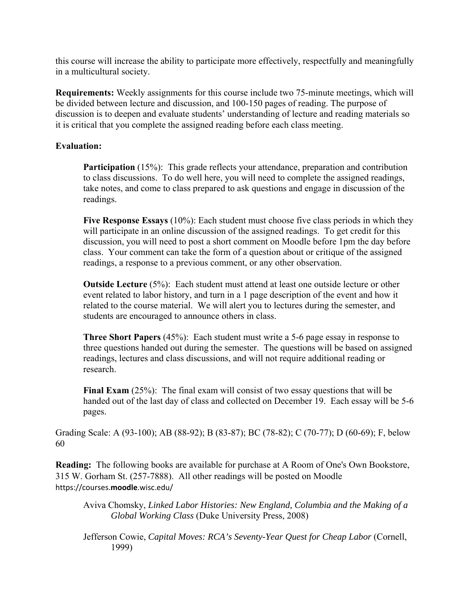this course will increase the ability to participate more effectively, respectfully and meaningfully in a multicultural society.

**Requirements:** Weekly assignments for this course include two 75-minute meetings, which will be divided between lecture and discussion, and 100-150 pages of reading. The purpose of discussion is to deepen and evaluate students' understanding of lecture and reading materials so it is critical that you complete the assigned reading before each class meeting.

# **Evaluation:**

**Participation** (15%): This grade reflects your attendance, preparation and contribution to class discussions. To do well here, you will need to complete the assigned readings, take notes, and come to class prepared to ask questions and engage in discussion of the readings.

**Five Response Essays** (10%): Each student must choose five class periods in which they will participate in an online discussion of the assigned readings. To get credit for this discussion, you will need to post a short comment on Moodle before 1pm the day before class. Your comment can take the form of a question about or critique of the assigned readings, a response to a previous comment, or any other observation.

**Outside Lecture** (5%): Each student must attend at least one outside lecture or other event related to labor history, and turn in a 1 page description of the event and how it related to the course material. We will alert you to lectures during the semester, and students are encouraged to announce others in class.

**Three Short Papers** (45%): Each student must write a 5-6 page essay in response to three questions handed out during the semester. The questions will be based on assigned readings, lectures and class discussions, and will not require additional reading or research.

**Final Exam** (25%): The final exam will consist of two essay questions that will be handed out of the last day of class and collected on December 19. Each essay will be 5-6 pages.

Grading Scale: A (93-100); AB (88-92); B (83-87); BC (78-82); C (70-77); D (60-69); F, below 60

**Reading:** The following books are available for purchase at A Room of One's Own Bookstore, 315 W. Gorham St. (257-7888). All other readings will be posted on Moodle https://courses.**moodle**.wisc.edu/

Aviva Chomsky, *Linked Labor Histories: New England, Columbia and the Making of a Global Working Class* (Duke University Press, 2008)

Jefferson Cowie, *Capital Moves: RCA's Seventy-Year Quest for Cheap Labor* (Cornell, 1999)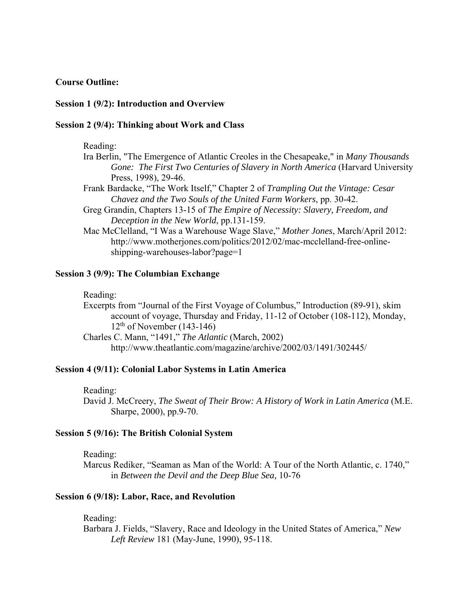## **Course Outline:**

## **Session 1 (9/2): Introduction and Overview**

## **Session 2 (9/4): Thinking about Work and Class**

Reading:

- Ira Berlin, "The Emergence of Atlantic Creoles in the Chesapeake," in *Many Thousands Gone: The First Two Centuries of Slavery in North America* (Harvard University Press, 1998), 29-46.
- Frank Bardacke, "The Work Itself," Chapter 2 of *Trampling Out the Vintage: Cesar Chavez and the Two Souls of the United Farm Workers*, pp. 30-42.
- Greg Grandin, Chapters 13-15 of *The Empire of Necessity: Slavery, Freedom, and Deception in the New World*, pp.131-159.
- Mac McClelland, "I Was a Warehouse Wage Slave," *Mother Jones*, March/April 2012: http://www.motherjones.com/politics/2012/02/mac-mcclelland-free-onlineshipping-warehouses-labor?page=1

### **Session 3 (9/9): The Columbian Exchange**

#### Reading:

Excerpts from "Journal of the First Voyage of Columbus," Introduction (89-91), skim account of voyage, Thursday and Friday, 11-12 of October (108-112), Monday,  $12<sup>th</sup>$  of November (143-146)

Charles C. Mann, "1491," *The Atlantic* (March, 2002) http://www.theatlantic.com/magazine/archive/2002/03/1491/302445/

## **Session 4 (9/11): Colonial Labor Systems in Latin America**

Reading:

David J. McCreery, *The Sweat of Their Brow: A History of Work in Latin America* (M.E. Sharpe, 2000), pp.9-70.

## **Session 5 (9/16): The British Colonial System**

Reading:

Marcus Rediker, "Seaman as Man of the World: A Tour of the North Atlantic, c. 1740," in *Between the Devil and the Deep Blue Sea,* 10-76

## **Session 6 (9/18): Labor, Race, and Revolution**

Reading:

Barbara J. Fields, "Slavery, Race and Ideology in the United States of America," *New Left Review* 181 (May-June, 1990), 95-118.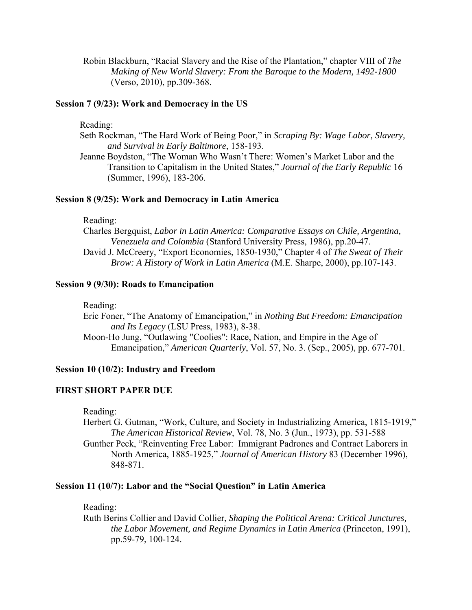Robin Blackburn, "Racial Slavery and the Rise of the Plantation," chapter VIII of *The Making of New World Slavery: From the Baroque to the Modern, 1492-1800* (Verso, 2010), pp.309-368.

## **Session 7 (9/23): Work and Democracy in the US**

Reading:

Seth Rockman, "The Hard Work of Being Poor," in *Scraping By: Wage Labor, Slavery, and Survival in Early Baltimore*, 158-193.

Jeanne Boydston, "The Woman Who Wasn't There: Women's Market Labor and the Transition to Capitalism in the United States," *Journal of the Early Republic* 16 (Summer, 1996), 183-206.

## **Session 8 (9/25): Work and Democracy in Latin America**

Reading:

Charles Bergquist, *Labor in Latin America: Comparative Essays on Chile, Argentina, Venezuela and Colombia* (Stanford University Press, 1986), pp.20-47.

David J. McCreery, "Export Economies, 1850-1930," Chapter 4 of *The Sweat of Their Brow: A History of Work in Latin America* (M.E. Sharpe, 2000), pp.107-143.

# **Session 9 (9/30): Roads to Emancipation**

Reading:

Eric Foner, "The Anatomy of Emancipation," in *Nothing But Freedom: Emancipation and Its Legacy* (LSU Press, 1983), 8-38. Moon-Ho Jung, "Outlawing "Coolies": Race, Nation, and Empire in the Age of Emancipation," *American Quarterly*, Vol. 57, No. 3. (Sep., 2005), pp. 677-701.

## **Session 10 (10/2): Industry and Freedom**

## **FIRST SHORT PAPER DUE**

Reading:

Herbert G. Gutman, "Work, Culture, and Society in Industrializing America, 1815-1919," *The American Historical Review*, Vol. 78, No. 3 (Jun., 1973), pp. 531-588

Gunther Peck, "Reinventing Free Labor: Immigrant Padrones and Contract Laborers in North America, 1885-1925," *Journal of American History* 83 (December 1996), 848-871.

## **Session 11 (10/7): Labor and the "Social Question" in Latin America**

Reading:

Ruth Berins Collier and David Collier, *Shaping the Political Arena: Critical Junctures, the Labor Movement, and Regime Dynamics in Latin America* (Princeton, 1991), pp.59-79, 100-124.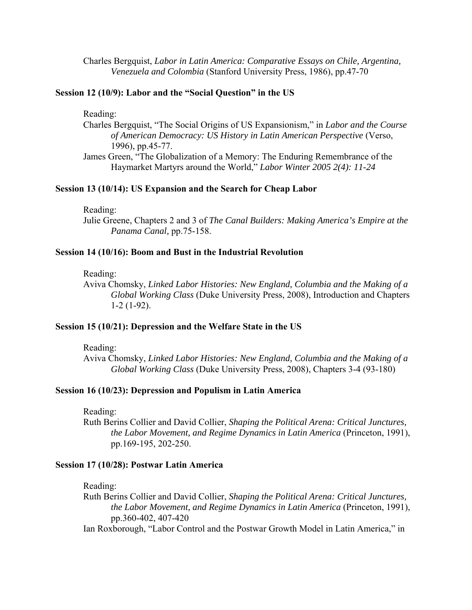Charles Bergquist, *Labor in Latin America: Comparative Essays on Chile, Argentina, Venezuela and Colombia* (Stanford University Press, 1986), pp.47-70

## **Session 12 (10/9): Labor and the "Social Question" in the US**

Reading:

- Charles Bergquist, "The Social Origins of US Expansionism," in *Labor and the Course of American Democracy: US History in Latin American Perspective* (Verso, 1996), pp.45-77.
- James Green, "The Globalization of a Memory: The Enduring Remembrance of the Haymarket Martyrs around the World," *Labor Winter 2005 2(4): 11-24*

#### **Session 13 (10/14): US Expansion and the Search for Cheap Labor**

Reading:

Julie Greene, Chapters 2 and 3 of *The Canal Builders: Making America's Empire at the Panama Canal,* pp.75-158.

#### **Session 14 (10/16): Boom and Bust in the Industrial Revolution**

Reading:

Aviva Chomsky, *Linked Labor Histories: New England, Columbia and the Making of a Global Working Class* (Duke University Press, 2008), Introduction and Chapters 1-2 (1-92).

#### **Session 15 (10/21): Depression and the Welfare State in the US**

Reading:

Aviva Chomsky, *Linked Labor Histories: New England, Columbia and the Making of a Global Working Class* (Duke University Press, 2008), Chapters 3-4 (93-180)

## **Session 16 (10/23): Depression and Populism in Latin America**

Reading:

Ruth Berins Collier and David Collier, *Shaping the Political Arena: Critical Junctures, the Labor Movement, and Regime Dynamics in Latin America* (Princeton, 1991), pp.169-195, 202-250.

#### **Session 17 (10/28): Postwar Latin America**

Reading:

Ruth Berins Collier and David Collier, *Shaping the Political Arena: Critical Junctures, the Labor Movement, and Regime Dynamics in Latin America* (Princeton, 1991), pp.360-402, 407-420

Ian Roxborough, "Labor Control and the Postwar Growth Model in Latin America," in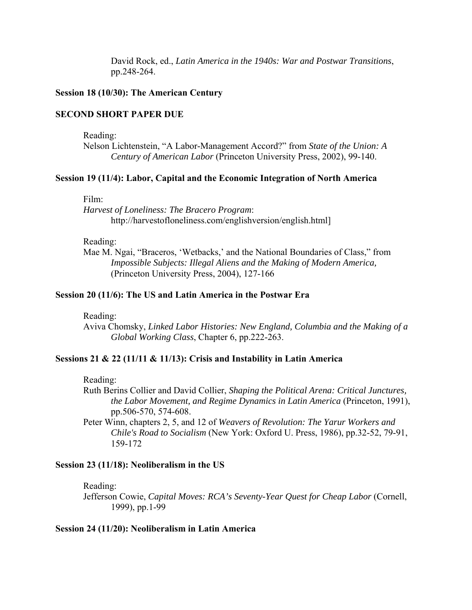David Rock, ed., *Latin America in the 1940s: War and Postwar Transitions*, pp.248-264.

## **Session 18 (10/30): The American Century**

## **SECOND SHORT PAPER DUE**

Reading:

Nelson Lichtenstein, "A Labor-Management Accord?" from *State of the Union: A Century of American Labor* (Princeton University Press, 2002), 99-140.

## **Session 19 (11/4): Labor, Capital and the Economic Integration of North America**

Film:

*Harvest of Loneliness: The Bracero Program*: http://harvestofloneliness.com/englishversion/english.html]

## Reading:

Mae M. Ngai, "Braceros, 'Wetbacks,' and the National Boundaries of Class," from *Impossible Subjects: Illegal Aliens and the Making of Modern America,*  (Princeton University Press, 2004), 127-166

#### **Session 20 (11/6): The US and Latin America in the Postwar Era**

Reading:

 Aviva Chomsky, *Linked Labor Histories: New England, Columbia and the Making of a Global Working Class*, Chapter 6, pp.222-263.

## **Sessions 21 & 22 (11/11 & 11/13): Crisis and Instability in Latin America**

Reading:

Ruth Berins Collier and David Collier, *Shaping the Political Arena: Critical Junctures, the Labor Movement, and Regime Dynamics in Latin America* (Princeton, 1991), pp.506-570, 574-608.

Peter Winn, chapters 2, 5, and 12 of *Weavers of Revolution: The Yarur Workers and Chile's Road to Socialism* (New York: Oxford U. Press, 1986), pp.32-52, 79-91, 159-172

### **Session 23 (11/18): Neoliberalism in the US**

Reading:

Jefferson Cowie, *Capital Moves: RCA's Seventy-Year Quest for Cheap Labor* (Cornell, 1999), pp.1-99

#### **Session 24 (11/20): Neoliberalism in Latin America**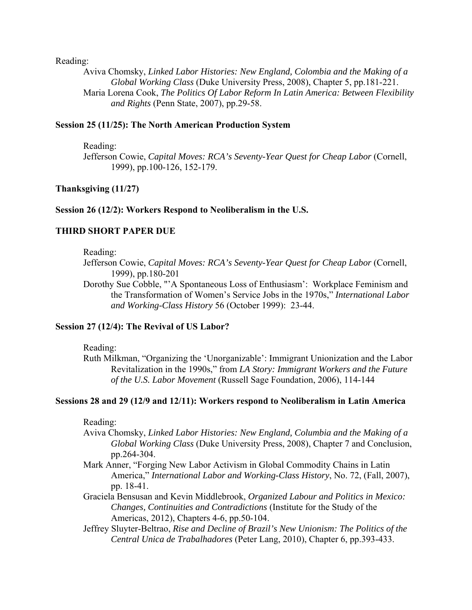Reading:

Aviva Chomsky, *Linked Labor Histories: New England, Colombia and the Making of a Global Working Class* (Duke University Press, 2008), Chapter 5, pp.181-221. Maria Lorena Cook, *The Politics Of Labor Reform In Latin America: Between Flexibility and Rights* (Penn State, 2007), pp.29-58.

## **Session 25 (11/25): The North American Production System**

Reading:

Jefferson Cowie, *Capital Moves: RCA's Seventy-Year Quest for Cheap Labor* (Cornell, 1999), pp.100-126, 152-179.

## **Thanksgiving (11/27)**

## **Session 26 (12/2): Workers Respond to Neoliberalism in the U.S.**

## **THIRD SHORT PAPER DUE**

Reading:

- Jefferson Cowie, *Capital Moves: RCA's Seventy-Year Quest for Cheap Labor* (Cornell, 1999), pp.180-201
- Dorothy Sue Cobble, "'A Spontaneous Loss of Enthusiasm': Workplace Feminism and the Transformation of Women's Service Jobs in the 1970s," *International Labor and Working-Class History* 56 (October 1999): 23-44.

## **Session 27 (12/4): The Revival of US Labor?**

Reading:

Ruth Milkman, "Organizing the 'Unorganizable': Immigrant Unionization and the Labor Revitalization in the 1990s," from *LA Story: Immigrant Workers and the Future of the U.S. Labor Movement* (Russell Sage Foundation, 2006), 114-144

## **Sessions 28 and 29 (12/9 and 12/11): Workers respond to Neoliberalism in Latin America**

Reading:

- Aviva Chomsky, *Linked Labor Histories: New England, Columbia and the Making of a Global Working Class* (Duke University Press, 2008), Chapter 7 and Conclusion, pp.264-304.
- Mark Anner, "Forging New Labor Activism in Global Commodity Chains in Latin America," *International Labor and Working-Class History*, No. 72, (Fall, 2007), pp. 18-41.
- Graciela Bensusan and Kevin Middlebrook, *Organized Labour and Politics in Mexico: Changes, Continuities and Contradictions* (Institute for the Study of the Americas, 2012), Chapters 4-6, pp.50-104.
- Jeffrey Sluyter-Beltrao, *Rise and Decline of Brazil's New Unionism: The Politics of the Central Unica de Trabalhadores* (Peter Lang, 2010), Chapter 6, pp.393-433.